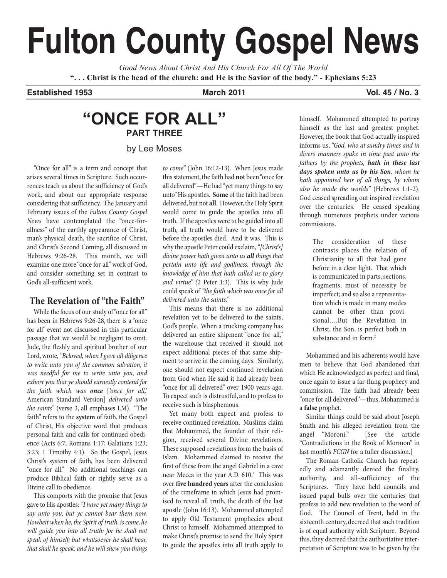# **Fulton County Gospel News**

*Good News About Christ And His Church For All Of The World* "... Christ is the head of the church: and He is the Savior of the body." - Ephesians 5:23

## **Established 1953 March 2011 Vol. 45 / No. 3**

## **"ONCE FOR ALL" PART THREE**

by Lee Moses

"Once for all" is a term and concept that arises several times in Scripture. Such occurrences teach us about the sufficiency of God's work, and about our appropriate response considering that sufficiency. The January and February issues of the *Fulton County Gospel News* have contemplated the "once-forallness" of the earthly appearance of Christ, man's physical death, the sacrifice of Christ, and Christ's Second Coming, all discussed in Hebrews 9:26-28. This month, we will examine one more"once for all"work of God, and consider something set in contrast to God's all-sufficient work.

## **The Revelation of "the Faith"**

While the focus of our study of "once for all" has been in Hebrews 9:26-28, there is a "once for all" event not discussed in this particular passage that we would be negligent to omit. Jude, the fleshly and spiritual brother of our Lord, wrote, "Beloved, when I gave all diligence *to write unto you of the common salvation, it was needful for me to write unto you, and exhort you that ye should earnestly contend for the faith which was once* [*'once for all,'* American Standard Version] *delivered unto the saints"* (verse 3, all emphases LM). "The faith" refers to the system of faith, the Gospel of Christ, His objective word that produces personal faith and calls for continued obedience (Acts 6:7; Romans 1:17; Galatians 1:23; 3:23; 1 Timothy 4:1). So the Gospel, Jesus Christ's system of faith, has been delivered "once for all." No additional teachings can produce Biblical faith or rightly serve as a Divine call to obedience.

This comports with the promise that Jesus gaveto His apostles:*"I have yet many things to say unto you, but ye cannot bear them now. Howbeit when he,the Spirit of truth,iscome, he will guide you into all truth: for he shall not speak of himself; but whatsoever he shall hear, that shall hespeak: and he will shew you things*

*to come"* (John 16:12-13). When Jesus made this statement, the faith had **not** been "once for all delivered"—He had "yet many things to say unto"His apostles. **Some** of thefaith had been delivered, but not all. However, the Holy Spirit would come to guide the apostles into all truth. If the apostles were to be guided into all truth, all truth would have to be delivered before the apostles died. And it was. This is why the apostle Peter could exclaim, "[Christ's] *divine power hath given unto us all things that pertain unto life and godliness, through the knowledge of him that hath called us to glory and virtue" (*2 Peter 1:3). This is why Jude could speak of *"thefaith which was oncefor all delivered unto the saints."*

This means that there is no additional revelation yet to be delivered to the saints, God's people. When a trucking company has delivered an entire shipment "once for all," the warehouse that received it should not expect additional pieces of that same shipment to arrive in the coming days. Similarly, one should not expect continued revelation from God when He said it had already been "once for all delivered" over 1900 years ago. To expect such is distrustful, and to profess to receive such is blasphemous.

Yet many both expect and profess to receive continued revelation. Muslims claim that Mohammed, the founder of their religion, received several Divine revelations. These supposed revelations form the basis of Islam. Mohammed claimed to receive the first of these from the angel Gabriel in a cave near Mecca in the year A.D. 610. <sup>1</sup> This was over **five hundred years** after the conclusion of the timeframe in which Jesus had promised to reveal all truth, the death of the last apostle (John 16:13). Mohammed attempted to apply Old Testament prophecies about Christ to himself. Mohammed attempted to make Christ's promise to send the Holy Spirit to guide the apostles into all truth apply to

himself. Mohammed attempted to portray himself as the last and greatest prophet. However, the book that God actually inspired informs us,*"God, who at sundry times and in divers manners spake in time past unto the fathers by the prophets, hath in these last days spoken unto us by his Son, whom he hath appointed heir of all things, by whom also he made the worlds"* (Hebrews 1:1-2). God ceased spreading out inspired revelation over the centuries. He ceased speaking through numerous prophets under various commissions.

> The consideration of these contrasts places the relation of Christianity to all that had gone before in a clear light. That which is communicated in parts, sections, fragments, must of necessity be imperfect; and so also a representation which is made in many modes cannot be other than provisional….But the Revelation in Christ, the Son, is perfect both in substance and in form. 2

Mohammed and his adherents would have men to believe that God abandoned that which He acknowledged as perfect and final, once again to issue a far-flung prophecy and commission. The faith had already been "once for all delivered"—thus,Mohammed is a **false** prophet.

Similar things could be said about Joseph Smith and his alleged revelation from the angel "Moroni." [See the article "Contradictions in the Book of Mormon" in last month's *FCGN* for a fuller discussion.]

The Roman Catholic Church has repeatedly and adamantly denied the finality, authority, and all-sufficiency of the Scriptures. They have held councils and issued papal bulls over the centuries that profess to add new revelation to the word of God. The Council of Trent, held in the sixteenth century, decreed that such tradition is of equal authority with Scripture. Beyond this, they decreed that the authoritative interpretation of Scripture was to be given by the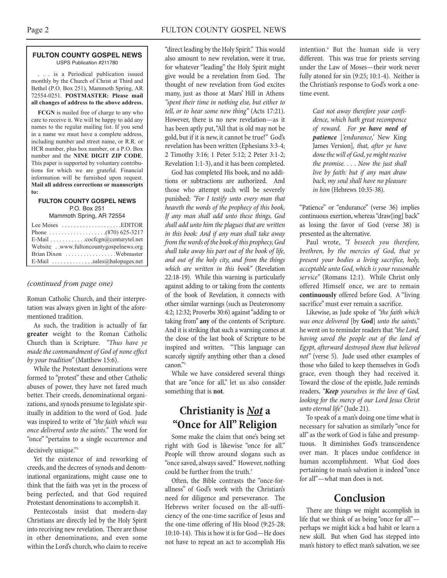#### **FULTON COUNTY GOSPEL NEWS** USPS Publication #211780

. . . is a Periodical publication issued monthly by the Church of Christ at Third and Bethel (P.O. Box 251), Mammoth Spring, AR 72554-0251. **POSTMASTER: Please mail all changes of address to the above address.**

**FCGN** is mailed free of charge to any who care to receive it. We will be happy to add any names to the regular mailing list. If you send in a name we must have a complete address, including number and street name, or R.R. or HCR number, plus box number, or a P.O. Box number and the **NINE DIGIT ZIP CODE**. This paper is supported by voluntary contributions for which we are grateful. Financial information will be furnished upon request. **Mail all address corrections or manuscripts to:**

#### **FULTON COUNTY GOSPEL NEWS** P.O. Box 251

Mammoth Spring, AR 72554

| Lee Moses $\dots\dots\dots\dots\dots\dots$ . EDITOR |
|-----------------------------------------------------|
|                                                     |
| E-Mail cocfcgn@centurytel.net                       |
| Website . www.fultoncountygospelnews.org            |
|                                                     |
| E-Mail $\ldots$ sales@halopages.net                 |

## *(continued from page one)*

Roman Catholic Church, and their interpretation was always given in light of the aforementioned tradition.

As such, the tradition is actually of far **greater** weight to the Roman Catholic Church than is Scripture. *"Thus have ye made the commandment of God of none effect by your tradition"* (Matthew 15:6).

While the Protestant denominations were formed to "protest" these and other Catholic abuses of power, they have not fared much better. Their creeds, denominational organizations, and synods presume to legislate spiritually in addition to the word of God. Jude was inspired to write of *"the faith which was once delivered unto the saints."* The word for "once" "pertains to a single occurrence and decisively unique."3

Yet the existence of and reworking of creeds, and the decrees of synods and denominational organizations, might cause one to think that the faith was yet in the process of being perfected, and that God required Protestant denominations to accomplish it.

Pentecostals insist that modern-day Christians are directly led by the Holy Spirit into receiving new revelation. There are those in other denominations, and even some within the Lord's church, who claim to receive

"direct leading by the Holy Spirit." This would also amount to new revelation, were it true, for whatever "leading" the Holy Spirit might give would be a revelation from God. The thought of new revelation from God excites many, just as those at Mars' Hill in Athens *"spent their time in nothing else, but either to tell, or to hear some new thing"* (Acts 17:21). However, there is no new revelation—as it has been aptly put,"All that is old may not be gold, but if it is new, it cannot be true!" God's revelation has been written (Ephesians 3:3-4; 2 Timothy 3:16; 1 Peter 5:12; 2 Peter 3:1-2; Revelation 1:1-3), and it has been completed.

God has completed His book, and no additions or subtractions are authorized. And those who attempt such will be severely punished: *"For I testify unto every man that heareth the words of the prophecy of this book, If any man shall add unto these things, God shall add unto him the plagues that are written in this book: And if any man shall take away from thewords of the book of this prophecy,God shall take away his part out of the book of life, and out of the holy city, and from the things which are written in this book"* (Revelation 22:18-19). While this warning is particularly against adding to or taking from the contents of the book of Revelation, it connects with other similar warnings (such as Deuteronomy 4:2; 12:32; Proverbs 30:6) against"adding to or taking from" **any** of the contents of Scripture. And it is striking that such a warning comes at the close of the last book of Scripture to be inspired and written. "This language can scarcely signify anything other than a closed canon." 4

While we have considered several things that are "once for all," let us also consider something that is **not**.

## **Christianity is** *Not* **a "Once for All"Religion**

Some make the claim that one's being set right with God is likewise "once for all." People will throw around slogans such as "once saved, always saved." However, nothing could be further from the truth. 5

Often, the Bible contrasts the "once-forallness" of God's work with the Christian's need for diligence and perseverance. The Hebrews writer focused on the all-sufficiency of the one-time sacrifice of Jesus and the one-time offering of His blood (9:25-28; 10:10-14). This is how it is for God—He does not have to repeat an act to accomplish His

intention. <sup>6</sup> But the human side is very different. This was true for priests serving under the Law of Moses—their work never fully atoned for sin (9:25; 10:1-4). Neither is the Christian's response to God's work a onetime event.

> *Cast not away therefore your confidence, which hath great recompence of reward. For ye have need of patience* [*'endurance,'* New King James Version]*, that, after ye have done the will of God, ye might receive the promise. . . . Now the just shall live by faith: but if any man draw back, my soul shall have no pleasure in him* (Hebrews 10:35-38).

"Patience" or "endurance" (verse 36) implies continuous exertion, whereas "draw[ing] back" as losing the favor of God (verse 38) is presented as the alternative.

Paul wrote, *"I beseech you therefore, brethren, by the mercies of God, that ye present your bodies a living sacrifice, holy, acceptable unto God, which is your reasonable service"* (Romans 12:1). While Christ only offered Himself once, we are to remain **continuously** offered before God. A "living sacrifice" must ever remain a sacrifice.

Likewise, as Jude spoke of *"the faith which was once delivered* [by **God**] *unto the saints,"* he went on to reminder readers that "the Lord, *having saved the people out of the land of Egypt, afterward destroyed them that believed not"* (verse 5). Jude used other examples of those who failed to keep themselves in God's grace, even though they had received it. Toward the close of the epistle, Jude reminds readers, *"Keep yourselves in the love of God, looking for the mercy of our Lord Jesus Christ unto eternal life"* (Jude 21).

To speak of a man's doing one time what is necessary for salvation as similarly "once for all" as the work of God is false and presumptuous. It diminishes God's transcendence over man. It places undue confidence in human accomplishment. What God does pertaining to man's salvation is indeed "once for all"—what man does is not.

## **Conclusion**

There are things we might accomplish in life that we think of as being "once for all" perhaps we might kick a bad habit or learn a new skill. But when God has stepped into man's history to effect man's salvation, we see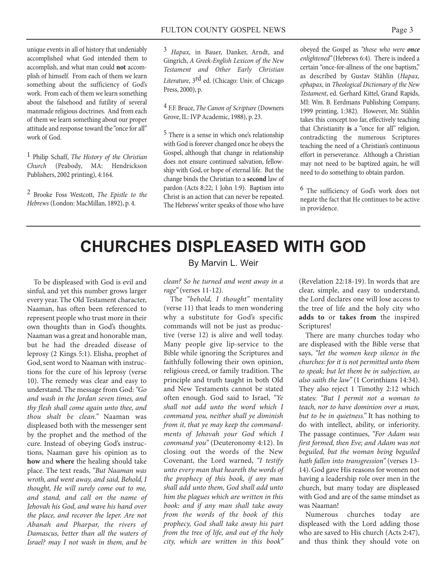unique events in all of history that undeniably accomplished what God intended them to accomplish, and what man could **not** accomplish of himself. From each of them we learn something about the sufficiency of God's work. From each of them welearn something about the falsehood and futility of several manmade religious doctrines. And from each of them we learn something about our proper attitude and response toward the "once for all" work of God.

1 Philip Schaff, *The History of the Christian Church* (Peabody, MA: Hendrickson Publishers, 2002 printing), 4:164.

2 Brooke Foss Westcott, *The Epistle to the Hebrews* (London: MacMillan, 1892), p. 4.

3 *Hapax,* in Bauer, Danker, Arndt, and Gingrich, *A Greek-English Lexicon of the New Testament and Other Early Christian Literature*, 3rd ed. (Chicago: Univ. of Chicago Press, 2000), p.

4 F.F. Bruce, *The Canon of Scripture* (Downers Grove,IL: IVP Academic, 1988), p. 23.

5 There is a sense in which one's relationship with God is forever changed once he obeys the Gospel, although that change in relationship does not ensure continued salvation, fellowship with God, or hope of eternal life. But the change binds the Christian to a **second** law of pardon (Acts 8:22; 1 John 1:9). Baptism into Christ is an action that can never be repeated. The Hebrews'writer speaks of those who have obeyed the Gospel as *"those who were once enlightened"*(Hebrews 6:4). There is indeed a certain "once-for-allness of the one baptism," as described by Gustav Stählin (*Hapax, ephapax,* in *Theological Dictionary of the New Testament*, ed. Gerhard Kittel, Grand Rapids, MI: Wm. B. Eerdmans Publishing Company, 1999 printing, 1:382). However, Mr. Stählin takes this concept too far, effectively teaching that Christianity **is** a "once for all" religion, contradicting the numerous Scriptures teaching the need of a Christian's continuous effort in perseverance. Although a Christian may not need to be baptized again, he will need to do something to obtain pardon.

6 The sufficiency of God's work does not negate the fact that He continues to be active in providence.

## **CHURCHES DISPLEASED WITH GOD**

To be displeased with God is evil and sinful, and yet this number grows larger every year.The Old Testament character, Naaman, has often been referenced to represent people who trust more in their own thoughts than in God's thoughts. Naaman was a great and honorable man, but he had the dreaded disease of leprosy (2 Kings 5:1). Elisha, prophet of God, sent word to Naaman with instructions for the cure of his leprosy (verse 10). The remedy was clear and easy to understand.The message from God:*"Go and wash in the Jordan seven times, and thy flesh shall come again unto thee, and thou shalt be clean."* Naaman was displeased both with the messenger sent by the prophet and the method of the cure. Instead of obeying God's instructions, Naaman gave his opinion as to **how** and **where** the healing should take place. The text reads, *"But Naaman was wroth, and went away, and said, Behold, I thought, He will surely come out to me, and stand, and call on the name of Jehovah his God, and wave his hand over the place, and recover the leper. Are not Abanah and Pharpar, the rivers of Damascus, better than all the waters of Israel? may I not wash in them, and be*

## By Marvin L. Weir

*clean? So he turned and went away in a rage"*(verses 11-12).

The *"behold, I thought"* mentality (verse 11) that leads to men wondering why a substitute for God's specific commands will not be just as productive (verse 12) is alive and well today. Many people give lip-service to the Bible while ignoring the Scriptures and faithfully following their own opinion, religious creed, or family tradition. The principle and truth taught in both Old and New Testaments cannot be stated often enough. God said to Israel, *"Ye shall not add unto the word which I command you, neither shall ye diminish from it, that ye may keep the commandments of Jehovah your God which I command you"* (Deuteronomy 4:12). In closing out the words of the New Covenant, the Lord warned, *"I testify unto every man that heareth the words of the prophecy of this book, if any man shall add unto them, God shall add unto him the plagues which are written in this book: and if any man shall take away from the words of the book of this prophecy, God shall take away his part from the tree of life, and out of the holy city, which are written in this book"*

(Revelation 22:18-19). In words that are clear, simple, and easy to understand, the Lord declares one will lose access to the tree of life and the holy city who **adds to** or **takes from** the inspired Scriptures!

There are many churches today who are displeased with the Bible verse that says, *"let the women keep silence in the churches: for it is not permitted unto them to speak; but let them be in subjection, as also saith the law"* (1 Corinthians 14:34). They also reject 1 Timothy 2:12 which states: *"But I permit not a woman to teach, nor to have dominion over a man, but to be in quietness."* It has nothing to do with intellect, ability, or inferiority. The passage continues, *"For Adam was first formed, then Eve; and Adam was not beguiled, but the woman being beguiled hath fallen into transgression"* (verses 13- 14).God gave His reasons for women not having a leadership role over men in the church, but many today are displeased with God and are of the same mindset as was Naaman!

Numerous churches today are displeased with the Lord adding those who are saved to His church (Acts 2:47), and thus think they should vote on